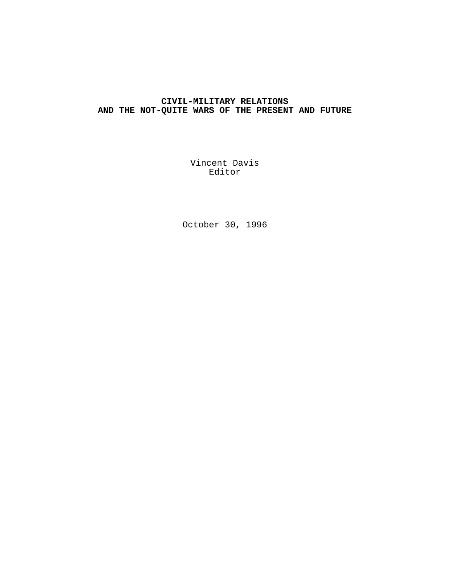# **CIVIL-MILITARY RELATIONS AND THE NOT-QUITE WARS OF THE PRESENT AND FUTURE**

Vincent Davis Editor

October 30, 1996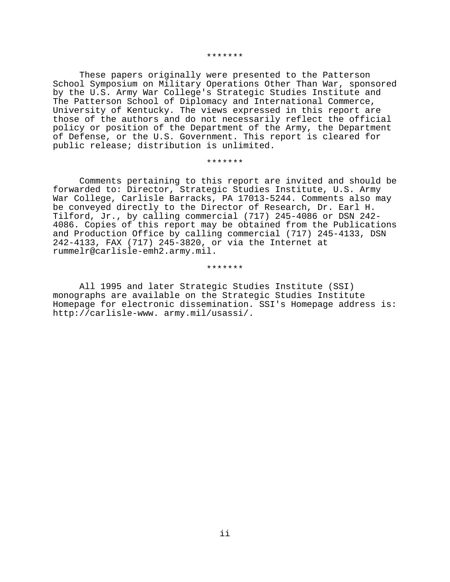#### \*\*\*\*\*\*\*

These papers originally were presented to the Patterson School Symposium on Military Operations Other Than War, sponsored by the U.S. Army War College's Strategic Studies Institute and The Patterson School of Diplomacy and International Commerce, University of Kentucky. The views expressed in this report are those of the authors and do not necessarily reflect the official policy or position of the Department of the Army, the Department of Defense, or the U.S. Government. This report is cleared for public release; distribution is unlimited.

## \*\*\*\*\*\*\*

Comments pertaining to this report are invited and should be forwarded to: Director, Strategic Studies Institute, U.S. Army War College, Carlisle Barracks, PA 17013-5244. Comments also may be conveyed directly to the Director of Research, Dr. Earl H. Tilford, Jr., by calling commercial (717) 245-4086 or DSN 242- 4086. Copies of this report may be obtained from the Publications and Production Office by calling commercial (717) 245-4133, DSN 242-4133, FAX (717) 245-3820, or via the Internet at rummelr@carlisle-emh2.army.mil.

\*\*\*\*\*\*\*

All 1995 and later Strategic Studies Institute (SSI) monographs are available on the Strategic Studies Institute Homepage for electronic dissemination. SSI's Homepage address is: http://carlisle-www. army.mil/usassi/.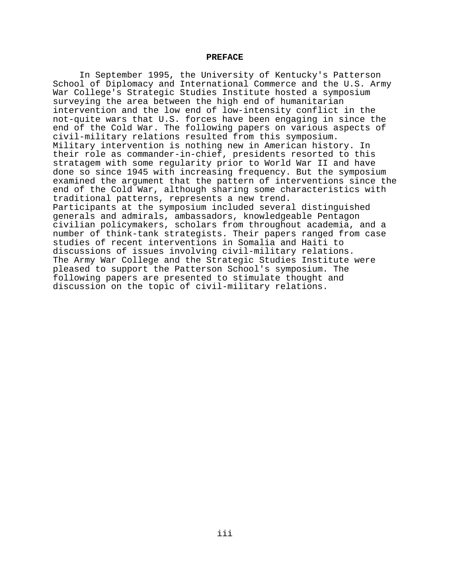#### **PREFACE**

In September 1995, the University of Kentucky's Patterson School of Diplomacy and International Commerce and the U.S. Army War College's Strategic Studies Institute hosted a symposium surveying the area between the high end of humanitarian intervention and the low end of low-intensity conflict in the not-quite wars that U.S. forces have been engaging in since the end of the Cold War. The following papers on various aspects of civil-military relations resulted from this symposium. Military intervention is nothing new in American history. In their role as commander-in-chief, presidents resorted to this stratagem with some regularity prior to World War II and have done so since 1945 with increasing frequency. But the symposium examined the argument that the pattern of interventions since the end of the Cold War, although sharing some characteristics with traditional patterns, represents a new trend. Participants at the symposium included several distinguished generals and admirals, ambassadors, knowledgeable Pentagon civilian policymakers, scholars from throughout academia, and a number of think-tank strategists. Their papers ranged from case studies of recent interventions in Somalia and Haiti to discussions of issues involving civil-military relations. The Army War College and the Strategic Studies Institute were pleased to support the Patterson School's symposium. The following papers are presented to stimulate thought and discussion on the topic of civil-military relations.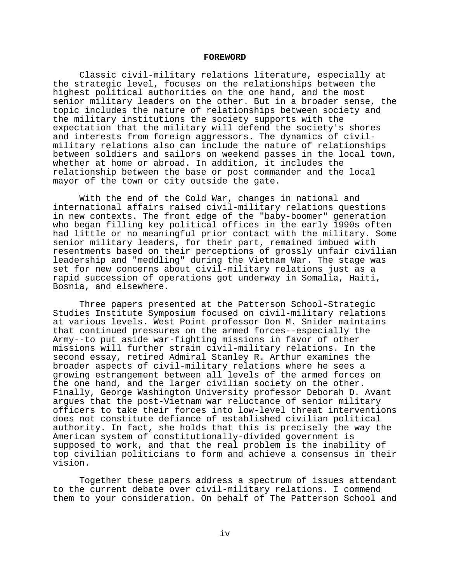#### **FOREWORD**

Classic civil-military relations literature, especially at the strategic level, focuses on the relationships between the highest political authorities on the one hand, and the most senior military leaders on the other. But in a broader sense, the topic includes the nature of relationships between society and the military institutions the society supports with the expectation that the military will defend the society's shores and interests from foreign aggressors. The dynamics of civilmilitary relations also can include the nature of relationships between soldiers and sailors on weekend passes in the local town, whether at home or abroad. In addition, it includes the relationship between the base or post commander and the local mayor of the town or city outside the gate.

With the end of the Cold War, changes in national and international affairs raised civil-military relations questions in new contexts. The front edge of the "baby-boomer" generation who began filling key political offices in the early 1990s often had little or no meaningful prior contact with the military. Some senior military leaders, for their part, remained imbued with resentments based on their perceptions of grossly unfair civilian leadership and "meddling" during the Vietnam War. The stage was set for new concerns about civil-military relations just as a rapid succession of operations got underway in Somalia, Haiti, Bosnia, and elsewhere.

Three papers presented at the Patterson School-Strategic Studies Institute Symposium focused on civil-military relations at various levels. West Point professor Don M. Snider maintains that continued pressures on the armed forces--especially the Army--to put aside war-fighting missions in favor of other missions will further strain civil-military relations. In the second essay, retired Admiral Stanley R. Arthur examines the broader aspects of civil-military relations where he sees a growing estrangement between all levels of the armed forces on the one hand, and the larger civilian society on the other. Finally, George Washington University professor Deborah D. Avant argues that the post-Vietnam war reluctance of senior military officers to take their forces into low-level threat interventions does not constitute defiance of established civilian political authority. In fact, she holds that this is precisely the way the American system of constitutionally-divided government is supposed to work, and that the real problem is the inability of top civilian politicians to form and achieve a consensus in their vision.

Together these papers address a spectrum of issues attendant to the current debate over civil-military relations. I commend them to your consideration. On behalf of The Patterson School and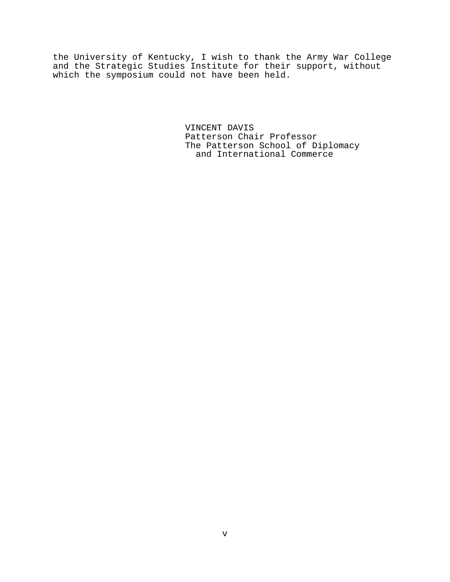the University of Kentucky, I wish to thank the Army War College and the Strategic Studies Institute for their support, without which the symposium could not have been held.

> VINCENT DAVIS Patterson Chair Professor The Patterson School of Diplomacy and International Commerce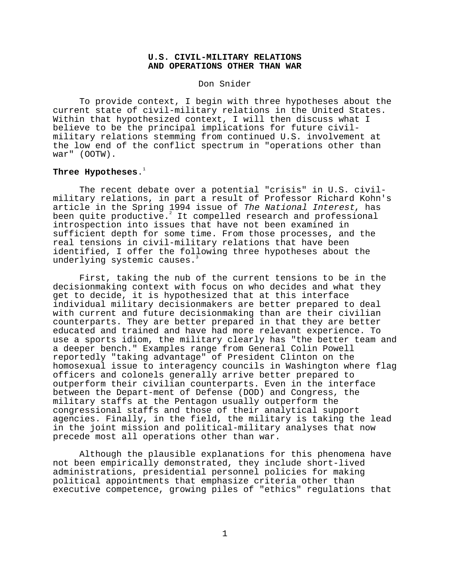## **U.S. CIVIL-MILITARY RELATIONS AND OPERATIONS OTHER THAN WAR**

Don Snider

To provide context, I begin with three hypotheses about the current state of civil-military relations in the United States. Within that hypothesized context, I will then discuss what I believe to be the principal implications for future civilmilitary relations stemming from continued U.S. involvement at the low end of the conflict spectrum in "operations other than war" (OOTW).

## Three Hypotheses.<sup>1</sup>

The recent debate over a potential "crisis" in U.S. civilmilitary relations, in part a result of Professor Richard Kohn's article in the Spring 1994 issue of The National Interest, has been quite productive.<sup>2</sup> It compelled research and professional introspection into issues that have not been examined in sufficient depth for some time. From those processes, and the real tensions in civil-military relations that have been identified, I offer the following three hypotheses about the underlying systemic causes.<sup>3</sup>

First, taking the nub of the current tensions to be in the decisionmaking context with focus on who decides and what they get to decide, it is hypothesized that at this interface individual military decisionmakers are better prepared to deal with current and future decisionmaking than are their civilian counterparts. They are better prepared in that they are better educated and trained and have had more relevant experience. To use a sports idiom, the military clearly has "the better team and a deeper bench." Examples range from General Colin Powell reportedly "taking advantage" of President Clinton on the homosexual issue to interagency councils in Washington where flag officers and colonels generally arrive better prepared to outperform their civilian counterparts. Even in the interface between the Depart-ment of Defense (DOD) and Congress, the military staffs at the Pentagon usually outperform the congressional staffs and those of their analytical support agencies. Finally, in the field, the military is taking the lead in the joint mission and political-military analyses that now precede most all operations other than war.

Although the plausible explanations for this phenomena have not been empirically demonstrated, they include short-lived administrations, presidential personnel policies for making political appointments that emphasize criteria other than executive competence, growing piles of "ethics" regulations that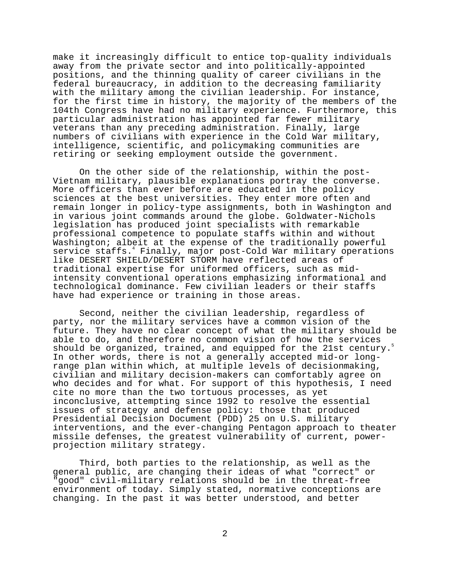make it increasingly difficult to entice top-quality individuals away from the private sector and into politically-appointed positions, and the thinning quality of career civilians in the federal bureaucracy, in addition to the decreasing familiarity with the military among the civilian leadership. For instance, for the first time in history, the majority of the members of the 104th Congress have had no military experience. Furthermore, this particular administration has appointed far fewer military veterans than any preceding administration. Finally, large numbers of civilians with experience in the Cold War military, intelligence, scientific, and policymaking communities are retiring or seeking employment outside the government.

On the other side of the relationship, within the post-Vietnam military, plausible explanations portray the converse. More officers than ever before are educated in the policy sciences at the best universities. They enter more often and remain longer in policy-type assignments, both in Washington and in various joint commands around the globe. Goldwater-Nichols legislation has produced joint specialists with remarkable professional competence to populate staffs within and without Washington; albeit at the expense of the traditionally powerful service staffs.<sup>4</sup> Finally, major post-Cold War military operations like DESERT SHIELD/DESERT STORM have reflected areas of traditional expertise for uniformed officers, such as midintensity conventional operations emphasizing informational and technological dominance. Few civilian leaders or their staffs have had experience or training in those areas.

Second, neither the civilian leadership, regardless of party, nor the military services have a common vision of the future. They have no clear concept of what the military should be able to do, and therefore no common vision of how the services should be organized, trained, and equipped for the 21st century.<sup>5</sup> In other words, there is not a generally accepted mid-or longrange plan within which, at multiple levels of decisionmaking, civilian and military decision-makers can comfortably agree on who decides and for what. For support of this hypothesis, I need cite no more than the two tortuous processes, as yet inconclusive, attempting since 1992 to resolve the essential issues of strategy and defense policy: those that produced Presidential Decision Document (PDD) 25 on U.S. military interventions, and the ever-changing Pentagon approach to theater missile defenses, the greatest vulnerability of current, powerprojection military strategy.

Third, both parties to the relationship, as well as the general public, are changing their ideas of what "correct" or "good" civil-military relations should be in the threat-free environment of today. Simply stated, normative conceptions are changing. In the past it was better understood, and better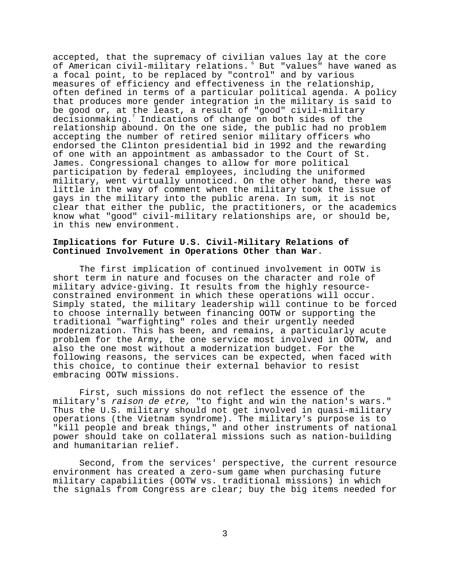accepted, that the supremacy of civilian values lay at the core of American civil-military relations. 6 But "values" have waned as a focal point, to be replaced by "control" and by various measures of efficiency and effectiveness in the relationship, often defined in terms of a particular political agenda. A policy that produces more gender integration in the military is said to be good or, at the least, a result of "good" civil-military decisionmaking.7 Indications of change on both sides of the relationship abound. On the one side, the public had no problem accepting the number of retired senior military officers who endorsed the Clinton presidential bid in 1992 and the rewarding of one with an appointment as ambassador to the Court of St. James. Congressional changes to allow for more political participation by federal employees, including the uniformed military, went virtually unnoticed. On the other hand, there was little in the way of comment when the military took the issue of gays in the military into the public arena. In sum, it is not clear that either the public, the practitioners, or the academics know what "good" civil-military relationships are, or should be, in this new environment.

## **Implications for Future U.S. Civil-Military Relations of Continued Involvement in Operations Other than War**.

The first implication of continued involvement in OOTW is short term in nature and focuses on the character and role of military advice-giving. It results from the highly resourceconstrained environment in which these operations will occur. Simply stated, the military leadership will continue to be forced to choose internally between financing OOTW or supporting the traditional "warfighting" roles and their urgently needed modernization. This has been, and remains, a particularly acute problem for the Army, the one service most involved in OOTW, and also the one most without a modernization budget. For the following reasons, the services can be expected, when faced with this choice, to continue their external behavior to resist embracing OOTW missions.

First, such missions do not reflect the essence of the military's raison de etre, "to fight and win the nation's wars." Thus the U.S. military should not get involved in quasi-military operations (the Vietnam syndrome). The military's purpose is to "kill people and break things," and other instruments of national power should take on collateral missions such as nation-building and humanitarian relief.

Second, from the services' perspective, the current resource environment has created a zero-sum game when purchasing future military capabilities (OOTW vs. traditional missions) in which the signals from Congress are clear; buy the big items needed for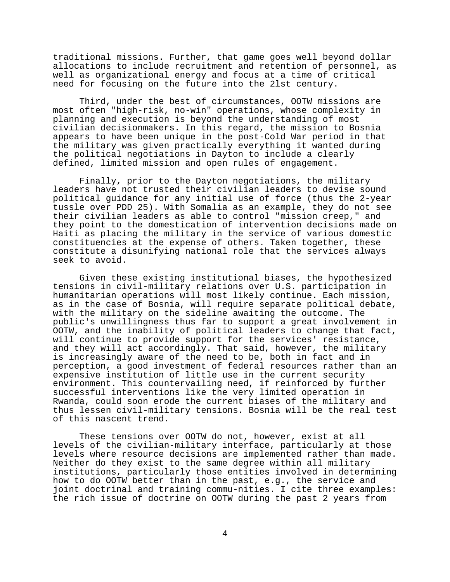traditional missions. Further, that game goes well beyond dollar allocations to include recruitment and retention of personnel, as well as organizational energy and focus at a time of critical need for focusing on the future into the 2lst century.

Third, under the best of circumstances, OOTW missions are most often "high-risk, no-win" operations, whose complexity in planning and execution is beyond the understanding of most civilian decisionmakers. In this regard, the mission to Bosnia appears to have been unique in the post-Cold War period in that the military was given practically everything it wanted during the political negotiations in Dayton to include a clearly defined, limited mission and open rules of engagement.

Finally, prior to the Dayton negotiations, the military leaders have not trusted their civilian leaders to devise sound political guidance for any initial use of force (thus the 2-year tussle over PDD 25). With Somalia as an example, they do not see their civilian leaders as able to control "mission creep," and they point to the domestication of intervention decisions made on Haiti as placing the military in the service of various domestic constituencies at the expense of others. Taken together, these constitute a disunifying national role that the services always seek to avoid.

Given these existing institutional biases, the hypothesized tensions in civil-military relations over U.S. participation in humanitarian operations will most likely continue. Each mission, as in the case of Bosnia, will require separate political debate, with the military on the sideline awaiting the outcome. The public's unwillingness thus far to support a great involvement in OOTW, and the inability of political leaders to change that fact, will continue to provide support for the services' resistance, and they will act accordingly. That said, however, the military is increasingly aware of the need to be, both in fact and in perception, a good investment of federal resources rather than an expensive institution of little use in the current security environment. This countervailing need, if reinforced by further successful interventions like the very limited operation in Rwanda, could soon erode the current biases of the military and thus lessen civil-military tensions. Bosnia will be the real test of this nascent trend.

These tensions over OOTW do not, however, exist at all levels of the civilian-military interface, particularly at those levels where resource decisions are implemented rather than made. Neither do they exist to the same degree within all military institutions, particularly those entities involved in determining how to do OOTW better than in the past, e.g., the service and joint doctrinal and training commu-nities. I cite three examples: the rich issue of doctrine on OOTW during the past 2 years from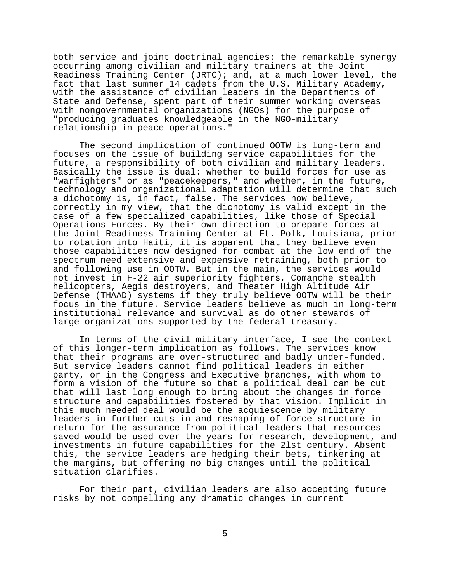both service and joint doctrinal agencies; the remarkable synergy occurring among civilian and military trainers at the Joint Readiness Training Center (JRTC); and, at a much lower level, the fact that last summer 14 cadets from the U.S. Military Academy, with the assistance of civilian leaders in the Departments of State and Defense, spent part of their summer working overseas with nongovernmental organizations (NGOs) for the purpose of "producing graduates knowledgeable in the NGO-military relationship in peace operations."

The second implication of continued OOTW is long-term and focuses on the issue of building service capabilities for the future, a responsibility of both civilian and military leaders. Basically the issue is dual: whether to build forces for use as "warfighters" or as "peacekeepers," and whether, in the future, technology and organizational adaptation will determine that such a dichotomy is, in fact, false. The services now believe, correctly in my view, that the dichotomy is valid except in the case of a few specialized capabilities, like those of Special Operations Forces. By their own direction to prepare forces at the Joint Readiness Training Center at Ft. Polk, Louisiana, prior to rotation into Haiti, it is apparent that they believe even those capabilities now designed for combat at the low end of the spectrum need extensive and expensive retraining, both prior to and following use in OOTW. But in the main, the services would not invest in F-22 air superiority fighters, Comanche stealth helicopters, Aegis destroyers, and Theater High Altitude Air Defense (THAAD) systems if they truly believe OOTW will be their focus in the future. Service leaders believe as much in long-term institutional relevance and survival as do other stewards of large organizations supported by the federal treasury.

In terms of the civil-military interface, I see the context of this longer-term implication as follows. The services know that their programs are over-structured and badly under-funded. But service leaders cannot find political leaders in either party, or in the Congress and Executive branches, with whom to form a vision of the future so that a political deal can be cut that will last long enough to bring about the changes in force structure and capabilities fostered by that vision. Implicit in this much needed deal would be the acquiescence by military leaders in further cuts in and reshaping of force structure in return for the assurance from political leaders that resources saved would be used over the years for research, development, and investments in future capabilities for the 2lst century. Absent this, the service leaders are hedging their bets, tinkering at the margins, but offering no big changes until the political situation clarifies.

For their part, civilian leaders are also accepting future risks by not compelling any dramatic changes in current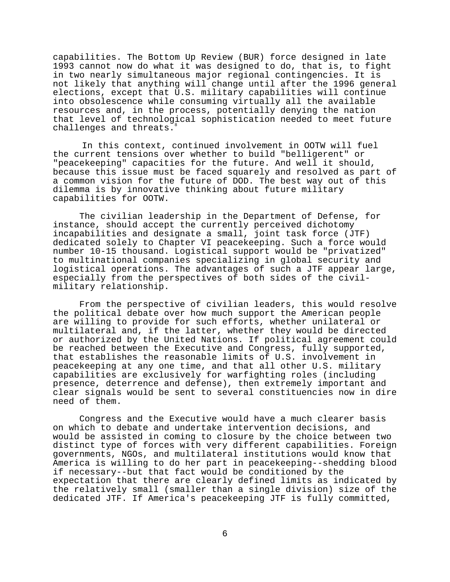capabilities. The Bottom Up Review (BUR) force designed in late 1993 cannot now do what it was designed to do, that is, to fight in two nearly simultaneous major regional contingencies. It is not likely that anything will change until after the 1996 general elections, except that U.S. military capabilities will continue into obsolescence while consuming virtually all the available resources and, in the process, potentially denying the nation that level of technological sophistication needed to meet future challenges and threats.

In this context, continued involvement in OOTW will fuel the current tensions over whether to build "belligerent" or "peacekeeping" capacities for the future. And well it should, because this issue must be faced squarely and resolved as part of a common vision for the future of DOD. The best way out of this dilemma is by innovative thinking about future military capabilities for OOTW.

The civilian leadership in the Department of Defense, for instance, should accept the currently perceived dichotomy incapabilities and designate a small, joint task force (JTF) dedicated solely to Chapter VI peacekeeping. Such a force would number 10-15 thousand. Logistical support would be "privatized" to multinational companies specializing in global security and logistical operations. The advantages of such a JTF appear large, especially from the perspectives of both sides of the civilmilitary relationship.

From the perspective of civilian leaders, this would resolve the political debate over how much support the American people are willing to provide for such efforts, whether unilateral or multilateral and, if the latter, whether they would be directed or authorized by the United Nations. If political agreement could be reached between the Executive and Congress, fully supported, that establishes the reasonable limits of U.S. involvement in peacekeeping at any one time, and that all other U.S. military capabilities are exclusively for warfighting roles (including presence, deterrence and defense), then extremely important and clear signals would be sent to several constituencies now in dire need of them.

Congress and the Executive would have a much clearer basis on which to debate and undertake intervention decisions, and would be assisted in coming to closure by the choice between two distinct type of forces with very different capabilities. Foreign governments, NGOs, and multilateral institutions would know that America is willing to do her part in peacekeeping--shedding blood if necessary--but that fact would be conditioned by the expectation that there are clearly defined limits as indicated by the relatively small (smaller than a single division) size of the dedicated JTF. If America's peacekeeping JTF is fully committed,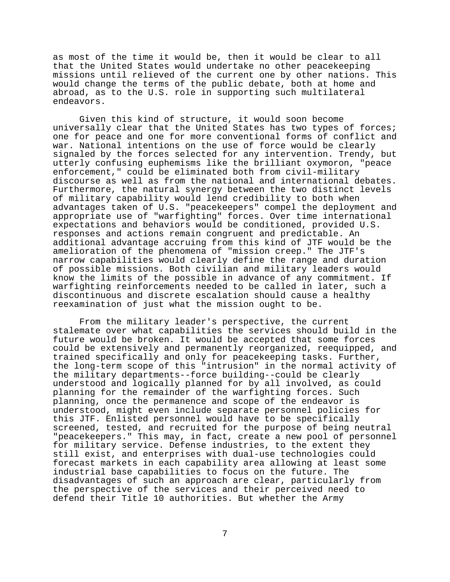as most of the time it would be, then it would be clear to all that the United States would undertake no other peacekeeping missions until relieved of the current one by other nations. This would change the terms of the public debate, both at home and abroad, as to the U.S. role in supporting such multilateral endeavors.

Given this kind of structure, it would soon become universally clear that the United States has two types of forces; one for peace and one for more conventional forms of conflict and war. National intentions on the use of force would be clearly signaled by the forces selected for any intervention. Trendy, but utterly confusing euphemisms like the brilliant oxymoron, "peace enforcement," could be eliminated both from civil-military discourse as well as from the national and international debates. Furthermore, the natural synergy between the two distinct levels of military capability would lend credibility to both when advantages taken of U.S. "peacekeepers" compel the deployment and appropriate use of "warfighting" forces. Over time international expectations and behaviors would be conditioned, provided U.S. responses and actions remain congruent and predictable. An additional advantage accruing from this kind of JTF would be the amelioration of the phenomena of "mission creep." The JTF's narrow capabilities would clearly define the range and duration of possible missions. Both civilian and military leaders would know the limits of the possible in advance of any commitment. If warfighting reinforcements needed to be called in later, such a discontinuous and discrete escalation should cause a healthy reexamination of just what the mission ought to be.

From the military leader's perspective, the current stalemate over what capabilities the services should build in the future would be broken. It would be accepted that some forces could be extensively and permanently reorganized, reequipped, and trained specifically and only for peacekeeping tasks. Further, the long-term scope of this "intrusion" in the normal activity of the military departments--force building--could be clearly understood and logically planned for by all involved, as could planning for the remainder of the warfighting forces. Such planning, once the permanence and scope of the endeavor is understood, might even include separate personnel policies for this JTF. Enlisted personnel would have to be specifically screened, tested, and recruited for the purpose of being neutral "peacekeepers." This may, in fact, create a new pool of personnel for military service. Defense industries, to the extent they still exist, and enterprises with dual-use technologies could forecast markets in each capability area allowing at least some industrial base capabilities to focus on the future. The disadvantages of such an approach are clear, particularly from the perspective of the services and their perceived need to defend their Title 10 authorities. But whether the Army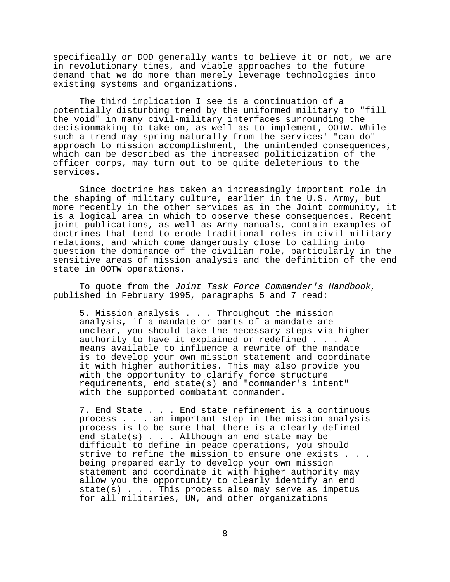specifically or DOD generally wants to believe it or not, we are in revolutionary times, and viable approaches to the future demand that we do more than merely leverage technologies into existing systems and organizations.

The third implication I see is a continuation of a potentially disturbing trend by the uniformed military to "fill the void" in many civil-military interfaces surrounding the decisionmaking to take on, as well as to implement, OOTW. While such a trend may spring naturally from the services' "can do" approach to mission accomplishment, the unintended consequences, which can be described as the increased politicization of the officer corps, may turn out to be quite deleterious to the services.

Since doctrine has taken an increasingly important role in the shaping of military culture, earlier in the U.S. Army, but more recently in the other services as in the Joint community, it is a logical area in which to observe these consequences. Recent joint publications, as well as Army manuals, contain examples of doctrines that tend to erode traditional roles in civil-military relations, and which come dangerously close to calling into question the dominance of the civilian role, particularly in the sensitive areas of mission analysis and the definition of the end state in OOTW operations.

To quote from the Joint Task Force Commander's Handbook, published in February 1995, paragraphs 5 and 7 read:

5. Mission analysis . . . Throughout the mission analysis, if a mandate or parts of a mandate are unclear, you should take the necessary steps via higher authority to have it explained or redefined . . . A means available to influence a rewrite of the mandate is to develop your own mission statement and coordinate it with higher authorities. This may also provide you with the opportunity to clarify force structure requirements, end state(s) and "commander's intent" with the supported combatant commander.

7. End State . . . End state refinement is a continuous process . . . an important step in the mission analysis process is to be sure that there is a clearly defined end state(s) . . . Although an end state may be difficult to define in peace operations, you should strive to refine the mission to ensure one exists . . . being prepared early to develop your own mission statement and coordinate it with higher authority may allow you the opportunity to clearly identify an end state(s) . . . This process also may serve as impetus for all militaries, UN, and other organizations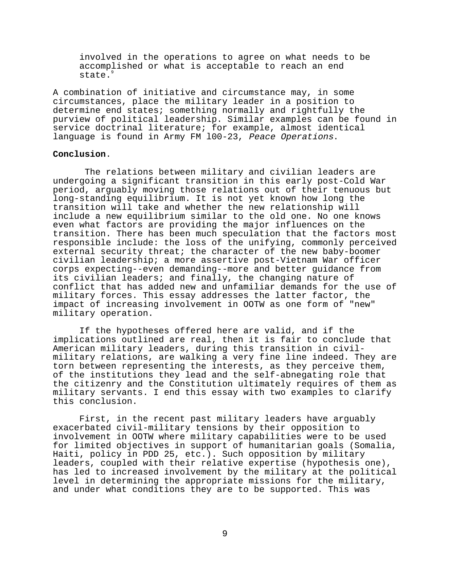involved in the operations to agree on what needs to be accomplished or what is acceptable to reach an end state.<sup>9</sup>

A combination of initiative and circumstance may, in some circumstances, place the military leader in a position to determine end states; something normally and rightfully the purview of political leadership. Similar examples can be found in service doctrinal literature; for example, almost identical language is found in Army FM l00-23, Peace Operations.

## **Conclusion**.

 The relations between military and civilian leaders are undergoing a significant transition in this early post-Cold War period, arguably moving those relations out of their tenuous but long-standing equilibrium. It is not yet known how long the transition will take and whether the new relationship will include a new equilibrium similar to the old one. No one knows even what factors are providing the major influences on the transition. There has been much speculation that the factors most responsible include: the loss of the unifying, commonly perceived external security threat; the character of the new baby-boomer civilian leadership; a more assertive post-Vietnam War officer corps expecting--even demanding--more and better guidance from its civilian leaders; and finally, the changing nature of conflict that has added new and unfamiliar demands for the use of military forces. This essay addresses the latter factor, the impact of increasing involvement in OOTW as one form of "new" military operation.

If the hypotheses offered here are valid, and if the implications outlined are real, then it is fair to conclude that American military leaders, during this transition in civilmilitary relations, are walking a very fine line indeed. They are torn between representing the interests, as they perceive them, of the institutions they lead and the self-abnegating role that the citizenry and the Constitution ultimately requires of them as military servants. I end this essay with two examples to clarify this conclusion.

First, in the recent past military leaders have arguably exacerbated civil-military tensions by their opposition to involvement in OOTW where military capabilities were to be used for limited objectives in support of humanitarian goals (Somalia, Haiti, policy in PDD 25, etc.). Such opposition by military leaders, coupled with their relative expertise (hypothesis one), has led to increased involvement by the military at the political level in determining the appropriate missions for the military, and under what conditions they are to be supported. This was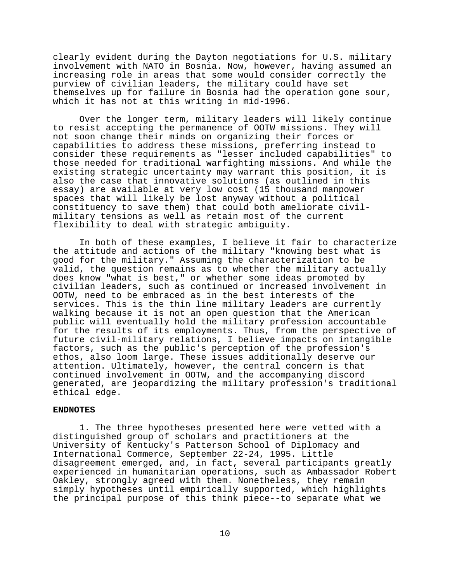clearly evident during the Dayton negotiations for U.S. military involvement with NATO in Bosnia. Now, however, having assumed an increasing role in areas that some would consider correctly the purview of civilian leaders, the military could have set themselves up for failure in Bosnia had the operation gone sour, which it has not at this writing in mid-1996.

Over the longer term, military leaders will likely continue to resist accepting the permanence of OOTW missions. They will not soon change their minds on organizing their forces or capabilities to address these missions, preferring instead to consider these requirements as "lesser included capabilities" to those needed for traditional warfighting missions. And while the existing strategic uncertainty may warrant this position, it is also the case that innovative solutions (as outlined in this essay) are available at very low cost (15 thousand manpower spaces that will likely be lost anyway without a political constituency to save them) that could both ameliorate civilmilitary tensions as well as retain most of the current flexibility to deal with strategic ambiguity.

In both of these examples, I believe it fair to characterize the attitude and actions of the military "knowing best what is good for the military." Assuming the characterization to be valid, the question remains as to whether the military actually does know "what is best," or whether some ideas promoted by civilian leaders, such as continued or increased involvement in OOTW, need to be embraced as in the best interests of the services. This is the thin line military leaders are currently walking because it is not an open question that the American public will eventually hold the military profession accountable for the results of its employments. Thus, from the perspective of future civil-military relations, I believe impacts on intangible factors, such as the public's perception of the profession's ethos, also loom large. These issues additionally deserve our attention. Ultimately, however, the central concern is that continued involvement in OOTW, and the accompanying discord generated, are jeopardizing the military profession's traditional ethical edge.

## **ENDNOTES**

1. The three hypotheses presented here were vetted with a distinguished group of scholars and practitioners at the University of Kentucky's Patterson School of Diplomacy and International Commerce, September 22-24, 1995. Little disagreement emerged, and, in fact, several participants greatly experienced in humanitarian operations, such as Ambassador Robert Oakley, strongly agreed with them. Nonetheless, they remain simply hypotheses until empirically supported, which highlights the principal purpose of this think piece--to separate what we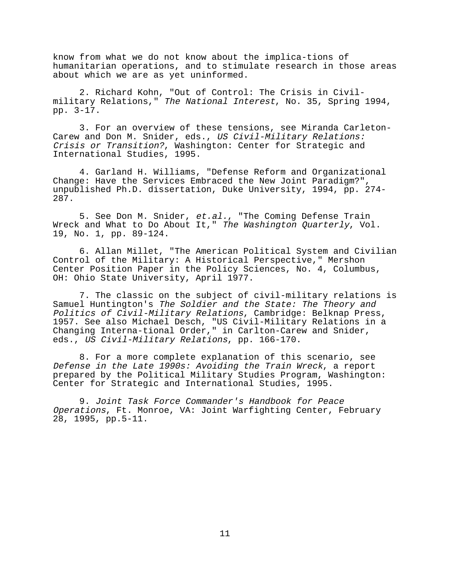know from what we do not know about the implica-tions of humanitarian operations, and to stimulate research in those areas about which we are as yet uninformed.

2. Richard Kohn, "Out of Control: The Crisis in Civilmilitary Relations," The National Interest, No. 35, Spring 1994, pp. 3-17.

3. For an overview of these tensions, see Miranda Carleton-Carew and Don M. Snider, eds., US Civil-Military Relations: Crisis or Transition?, Washington: Center for Strategic and International Studies, 1995.

4. Garland H. Williams, "Defense Reform and Organizational Change: Have the Services Embraced the New Joint Paradigm?", unpublished Ph.D. dissertation, Duke University, 1994, pp. 274- 287.

5. See Don M. Snider, et.al., "The Coming Defense Train Wreck and What to Do About It," The Washington Quarterly, Vol. 19, No. 1, pp. 89-124.

6. Allan Millet, "The American Political System and Civilian Control of the Military: A Historical Perspective," Mershon Center Position Paper in the Policy Sciences, No. 4, Columbus, OH: Ohio State University, April 1977.

7. The classic on the subject of civil-military relations is Samuel Huntington's The Soldier and the State: The Theory and Politics of Civil-Military Relations, Cambridge: Belknap Press, 1957. See also Michael Desch, "US Civil-Military Relations in a Changing Interna-tional Order," in Carlton-Carew and Snider, eds., US Civil-Military Relations, pp. 166-170.

8. For a more complete explanation of this scenario, see Defense in the Late 1990s: Avoiding the Train Wreck, a report prepared by the Political Military Studies Program, Washington: Center for Strategic and International Studies, 1995.

9. Joint Task Force Commander's Handbook for Peace Operations, Ft. Monroe, VA: Joint Warfighting Center, February 28, 1995, pp.5-11.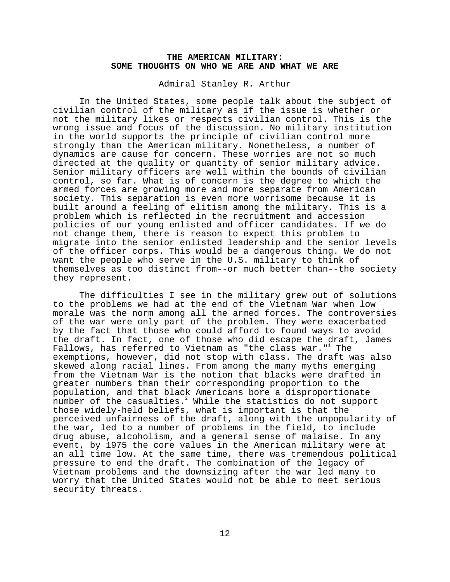## **THE AMERICAN MILITARY: SOME THOUGHTS ON WHO WE ARE AND WHAT WE ARE**

Admiral Stanley R. Arthur

In the United States, some people talk about the subject of civilian control of the military as if the issue is whether or not the military likes or respects civilian control. This is the wrong issue and focus of the discussion. No military institution in the world supports the principle of civilian control more strongly than the American military. Nonetheless, a number of dynamics are cause for concern. These worries are not so much directed at the quality or quantity of senior military advice. Senior military officers are well within the bounds of civilian control, so far. What is of concern is the degree to which the armed forces are growing more and more separate from American society. This separation is even more worrisome because it is built around a feeling of elitism among the military. This is a problem which is reflected in the recruitment and accession policies of our young enlisted and officer candidates. If we do not change them, there is reason to expect this problem to migrate into the senior enlisted leadership and the senior levels of the officer corps. This would be a dangerous thing. We do not want the people who serve in the U.S. military to think of themselves as too distinct from--or much better than--the society they represent.

The difficulties I see in the military grew out of solutions to the problems we had at the end of the Vietnam War when low morale was the norm among all the armed forces. The controversies of the war were only part of the problem. They were exacerbated by the fact that those who could afford to found ways to avoid the draft. In fact, one of those who did escape the draft, James Fallows, has referred to Vietnam as "the class war." $^{\rm t}$  The exemptions, however, did not stop with class. The draft was also skewed along racial lines. From among the many myths emerging from the Vietnam War is the notion that blacks were drafted in greater numbers than their corresponding proportion to the population, and that black Americans bore a disproportionate number of the casualties. $^2$  While the statistics do not support those widely-held beliefs, what is important is that the perceived unfairness of the draft, along with the unpopularity of the war, led to a number of problems in the field, to include drug abuse, alcoholism, and a general sense of malaise. In any event, by 1975 the core values in the American military were at an all time low. At the same time, there was tremendous political pressure to end the draft. The combination of the legacy of Vietnam problems and the downsizing after the war led many to worry that the United States would not be able to meet serious security threats.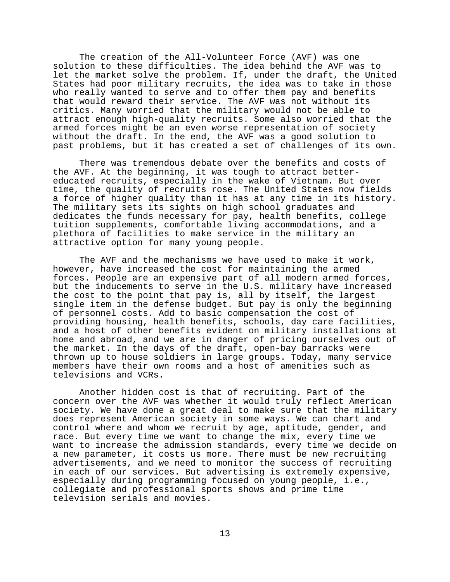The creation of the All-Volunteer Force (AVF) was one solution to these difficulties. The idea behind the AVF was to let the market solve the problem. If, under the draft, the United States had poor military recruits, the idea was to take in those who really wanted to serve and to offer them pay and benefits that would reward their service. The AVF was not without its critics. Many worried that the military would not be able to attract enough high-quality recruits. Some also worried that the armed forces might be an even worse representation of society without the draft. In the end, the AVF was a good solution to past problems, but it has created a set of challenges of its own.

There was tremendous debate over the benefits and costs of the AVF. At the beginning, it was tough to attract bettereducated recruits, especially in the wake of Vietnam. But over time, the quality of recruits rose. The United States now fields a force of higher quality than it has at any time in its history. The military sets its sights on high school graduates and dedicates the funds necessary for pay, health benefits, college tuition supplements, comfortable living accommodations, and a plethora of facilities to make service in the military an attractive option for many young people.

The AVF and the mechanisms we have used to make it work, however, have increased the cost for maintaining the armed forces. People are an expensive part of all modern armed forces, but the inducements to serve in the U.S. military have increased the cost to the point that pay is, all by itself, the largest single item in the defense budget. But pay is only the beginning of personnel costs. Add to basic compensation the cost of providing housing, health benefits, schools, day care facilities, and a host of other benefits evident on military installations at home and abroad, and we are in danger of pricing ourselves out of the market. In the days of the draft, open-bay barracks were thrown up to house soldiers in large groups. Today, many service members have their own rooms and a host of amenities such as televisions and VCRs.

Another hidden cost is that of recruiting. Part of the concern over the AVF was whether it would truly reflect American society. We have done a great deal to make sure that the military does represent American society in some ways. We can chart and control where and whom we recruit by age, aptitude, gender, and race. But every time we want to change the mix, every time we want to increase the admission standards, every time we decide on a new parameter, it costs us more. There must be new recruiting advertisements, and we need to monitor the success of recruiting in each of our services. But advertising is extremely expensive, especially during programming focused on young people, i.e., collegiate and professional sports shows and prime time television serials and movies.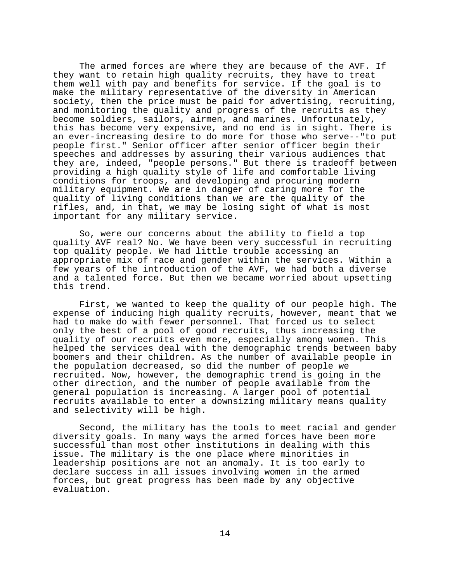The armed forces are where they are because of the AVF. If they want to retain high quality recruits, they have to treat them well with pay and benefits for service. If the goal is to make the military representative of the diversity in American society, then the price must be paid for advertising, recruiting, and monitoring the quality and progress of the recruits as they become soldiers, sailors, airmen, and marines. Unfortunately, this has become very expensive, and no end is in sight. There is an ever-increasing desire to do more for those who serve--"to put people first." Senior officer after senior officer begin their speeches and addresses by assuring their various audiences that they are, indeed, "people persons." But there is tradeoff between providing a high quality style of life and comfortable living conditions for troops, and developing and procuring modern military equipment. We are in danger of caring more for the quality of living conditions than we are the quality of the rifles, and, in that, we may be losing sight of what is most important for any military service.

So, were our concerns about the ability to field a top quality AVF real? No. We have been very successful in recruiting top quality people. We had little trouble accessing an appropriate mix of race and gender within the services. Within a few years of the introduction of the AVF, we had both a diverse and a talented force. But then we became worried about upsetting this trend.

First, we wanted to keep the quality of our people high. The expense of inducing high quality recruits, however, meant that we had to make do with fewer personnel. That forced us to select only the best of a pool of good recruits, thus increasing the quality of our recruits even more, especially among women. This helped the services deal with the demographic trends between baby boomers and their children. As the number of available people in the population decreased, so did the number of people we recruited. Now, however, the demographic trend is going in the other direction, and the number of people available from the general population is increasing. A larger pool of potential recruits available to enter a downsizing military means quality and selectivity will be high.

Second, the military has the tools to meet racial and gender diversity goals. In many ways the armed forces have been more successful than most other institutions in dealing with this issue. The military is the one place where minorities in leadership positions are not an anomaly. It is too early to declare success in all issues involving women in the armed forces, but great progress has been made by any objective evaluation.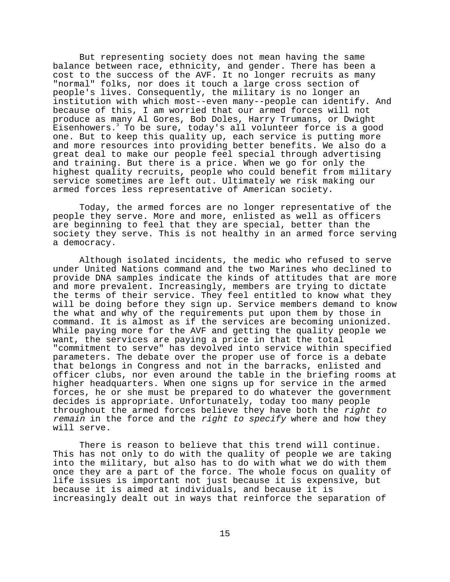But representing society does not mean having the same balance between race, ethnicity, and gender. There has been a cost to the success of the AVF. It no longer recruits as many "normal" folks, nor does it touch a large cross section of people's lives. Consequently, the military is no longer an institution with which most--even many--people can identify. And because of this, I am worried that our armed forces will not produce as many Al Gores, Bob Doles, Harry Trumans, or Dwight  $\bar{\texttt{E}}$ isenhowers. $^3$  To be sure, today's all volunteer force is a good one. But to keep this quality up, each service is putting more and more resources into providing better benefits. We also do a great deal to make our people feel special through advertising and training. But there is a price. When we go for only the highest quality recruits, people who could benefit from military service sometimes are left out. Ultimately we risk making our armed forces less representative of American society.

Today, the armed forces are no longer representative of the people they serve. More and more, enlisted as well as officers are beginning to feel that they are special, better than the society they serve. This is not healthy in an armed force serving a democracy.

Although isolated incidents, the medic who refused to serve under United Nations command and the two Marines who declined to provide DNA samples indicate the kinds of attitudes that are more and more prevalent. Increasingly, members are trying to dictate the terms of their service. They feel entitled to know what they will be doing before they sign up. Service members demand to know the what and why of the requirements put upon them by those in command. It is almost as if the services are becoming unionized. While paying more for the AVF and getting the quality people we want, the services are paying a price in that the total "commitment to serve" has devolved into service within specified parameters. The debate over the proper use of force is a debate that belongs in Congress and not in the barracks, enlisted and officer clubs, nor even around the table in the briefing rooms at higher headquarters. When one signs up for service in the armed forces, he or she must be prepared to do whatever the government decides is appropriate. Unfortunately, today too many people throughout the armed forces believe they have both the right to remain in the force and the right to specify where and how they will serve.

There is reason to believe that this trend will continue. This has not only to do with the quality of people we are taking into the military, but also has to do with what we do with them once they are a part of the force. The whole focus on quality of life issues is important not just because it is expensive, but because it is aimed at individuals, and because it is increasingly dealt out in ways that reinforce the separation of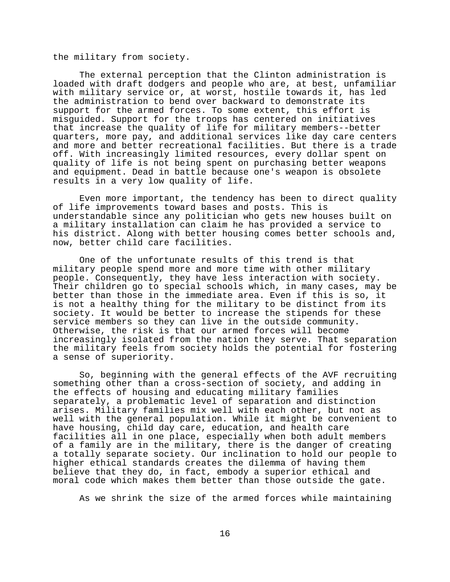the military from society.

The external perception that the Clinton administration is loaded with draft dodgers and people who are, at best, unfamiliar with military service or, at worst, hostile towards it, has led the administration to bend over backward to demonstrate its support for the armed forces. To some extent, this effort is misguided. Support for the troops has centered on initiatives that increase the quality of life for military members--better quarters, more pay, and additional services like day care centers and more and better recreational facilities. But there is a trade off. With increasingly limited resources, every dollar spent on quality of life is not being spent on purchasing better weapons and equipment. Dead in battle because one's weapon is obsolete results in a very low quality of life.

Even more important, the tendency has been to direct quality of life improvements toward bases and posts. This is understandable since any politician who gets new houses built on a military installation can claim he has provided a service to his district. Along with better housing comes better schools and, now, better child care facilities.

One of the unfortunate results of this trend is that military people spend more and more time with other military people. Consequently, they have less interaction with society. Their children go to special schools which, in many cases, may be better than those in the immediate area. Even if this is so, it is not a healthy thing for the military to be distinct from its society. It would be better to increase the stipends for these service members so they can live in the outside community. Otherwise, the risk is that our armed forces will become increasingly isolated from the nation they serve. That separation the military feels from society holds the potential for fostering a sense of superiority.

So, beginning with the general effects of the AVF recruiting something other than a cross-section of society, and adding in the effects of housing and educating military families separately, a problematic level of separation and distinction arises. Military families mix well with each other, but not as well with the general population. While it might be convenient to have housing, child day care, education, and health care facilities all in one place, especially when both adult members of a family are in the military, there is the danger of creating a totally separate society. Our inclination to hold our people to higher ethical standards creates the dilemma of having them believe that they do, in fact, embody a superior ethical and moral code which makes them better than those outside the gate.

As we shrink the size of the armed forces while maintaining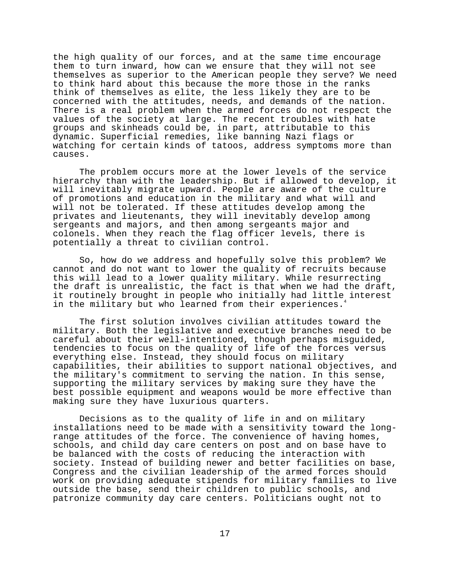the high quality of our forces, and at the same time encourage them to turn inward, how can we ensure that they will not see themselves as superior to the American people they serve? We need to think hard about this because the more those in the ranks think of themselves as elite, the less likely they are to be concerned with the attitudes, needs, and demands of the nation. There is a real problem when the armed forces do not respect the values of the society at large. The recent troubles with hate groups and skinheads could be, in part, attributable to this dynamic. Superficial remedies, like banning Nazi flags or watching for certain kinds of tatoos, address symptoms more than causes.

The problem occurs more at the lower levels of the service hierarchy than with the leadership. But if allowed to develop, it will inevitably migrate upward. People are aware of the culture of promotions and education in the military and what will and will not be tolerated. If these attitudes develop among the privates and lieutenants, they will inevitably develop among sergeants and majors, and then among sergeants major and colonels. When they reach the flag officer levels, there is potentially a threat to civilian control.

So, how do we address and hopefully solve this problem? We cannot and do not want to lower the quality of recruits because this will lead to a lower quality military. While resurrecting the draft is unrealistic, the fact is that when we had the draft, it routinely brought in people who initially had little interest in the military but who learned from their experiences.<sup>4</sup>

The first solution involves civilian attitudes toward the military. Both the legislative and executive branches need to be careful about their well-intentioned, though perhaps misguided, tendencies to focus on the quality of life of the forces versus everything else. Instead, they should focus on military capabilities, their abilities to support national objectives, and the military's commitment to serving the nation. In this sense, supporting the military services by making sure they have the best possible equipment and weapons would be more effective than making sure they have luxurious quarters.

Decisions as to the quality of life in and on military installations need to be made with a sensitivity toward the longrange attitudes of the force. The convenience of having homes, schools, and child day care centers on post and on base have to be balanced with the costs of reducing the interaction with society. Instead of building newer and better facilities on base, Congress and the civilian leadership of the armed forces should work on providing adequate stipends for military families to live outside the base, send their children to public schools, and patronize community day care centers. Politicians ought not to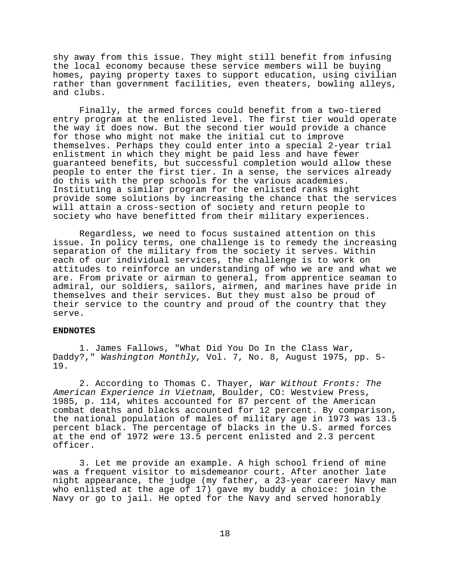shy away from this issue. They might still benefit from infusing the local economy because these service members will be buying homes, paying property taxes to support education, using civilian rather than government facilities, even theaters, bowling alleys, and clubs.

Finally, the armed forces could benefit from a two-tiered entry program at the enlisted level. The first tier would operate the way it does now. But the second tier would provide a chance for those who might not make the initial cut to improve themselves. Perhaps they could enter into a special 2-year trial enlistment in which they might be paid less and have fewer guaranteed benefits, but successful completion would allow these people to enter the first tier. In a sense, the services already do this with the prep schools for the various academies. Instituting a similar program for the enlisted ranks might provide some solutions by increasing the chance that the services will attain a cross-section of society and return people to society who have benefitted from their military experiences.

Regardless, we need to focus sustained attention on this issue. In policy terms, one challenge is to remedy the increasing separation of the military from the society it serves. Within each of our individual services, the challenge is to work on attitudes to reinforce an understanding of who we are and what we are. From private or airman to general, from apprentice seaman to admiral, our soldiers, sailors, airmen, and marines have pride in themselves and their services. But they must also be proud of their service to the country and proud of the country that they serve.

#### **ENDNOTES**

1. James Fallows, "What Did You Do In the Class War, Daddy?," Washington Monthly, Vol. 7, No. 8, August 1975, pp. 5- 19.

2. According to Thomas C. Thayer, War Without Fronts: The American Experience in Vietnam, Boulder, CO: Westview Press, 1985, p. 114, whites accounted for 87 percent of the American combat deaths and blacks accounted for 12 percent. By comparison, the national population of males of military age in 1973 was 13.5 percent black. The percentage of blacks in the U.S. armed forces at the end of 1972 were 13.5 percent enlisted and 2.3 percent officer.

3. Let me provide an example. A high school friend of mine was a frequent visitor to misdemeanor court. After another late night appearance, the judge (my father, a 23-year career Navy man who enlisted at the age of 17) gave my buddy a choice: join the Navy or go to jail. He opted for the Navy and served honorably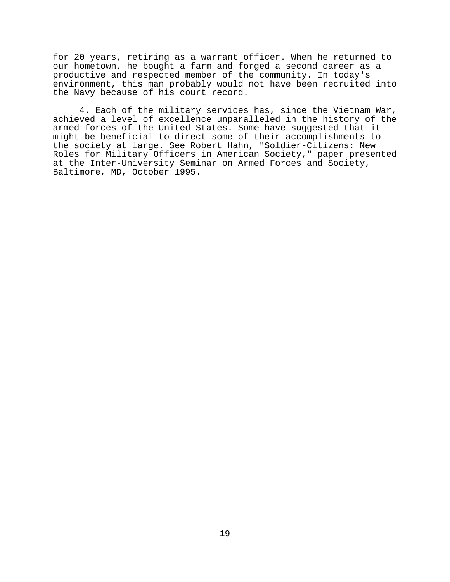for 20 years, retiring as a warrant officer. When he returned to our hometown, he bought a farm and forged a second career as a productive and respected member of the community. In today's environment, this man probably would not have been recruited into the Navy because of his court record.

4. Each of the military services has, since the Vietnam War, achieved a level of excellence unparalleled in the history of the armed forces of the United States. Some have suggested that it might be beneficial to direct some of their accomplishments to the society at large. See Robert Hahn, "Soldier-Citizens: New Roles for Military Officers in American Society," paper presented at the Inter-University Seminar on Armed Forces and Society, Baltimore, MD, October 1995.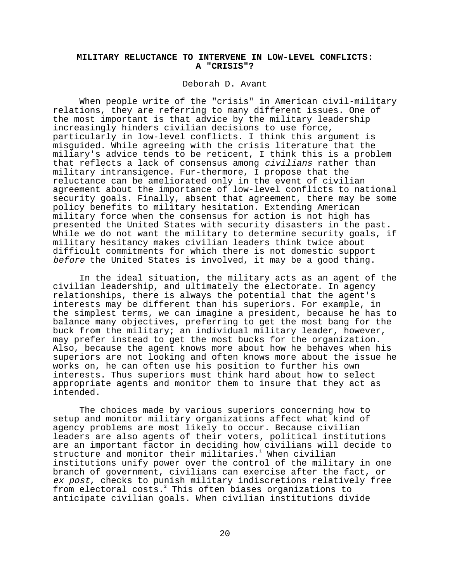# **MILITARY RELUCTANCE TO INTERVENE IN LOW-LEVEL CONFLICTS: A "CRISIS"?**

## Deborah D. Avant

When people write of the "crisis" in American civil-military relations, they are referring to many different issues. One of the most important is that advice by the military leadership increasingly hinders civilian decisions to use force, particularly in low-level conflicts. I think this argument is misguided. While agreeing with the crisis literature that the miliary's advice tends to be reticent, I think this is a problem that reflects a lack of consensus among *civilians* rather than military intransigence. Fur-thermore, I propose that the reluctance can be ameliorated only in the event of civilian agreement about the importance of low-level conflicts to national security goals. Finally, absent that agreement, there may be some policy benefits to military hesitation. Extending American military force when the consensus for action is not high has presented the United States with security disasters in the past. While we do not want the military to determine security goals, if military hesitancy makes civilian leaders think twice about difficult commitments for which there is not domestic support before the United States is involved, it may be a good thing.

In the ideal situation, the military acts as an agent of the civilian leadership, and ultimately the electorate. In agency relationships, there is always the potential that the agent's interests may be different than his superiors. For example, in the simplest terms, we can imagine a president, because he has to balance many objectives, preferring to get the most bang for the buck from the military; an individual military leader, however, may prefer instead to get the most bucks for the organization. Also, because the agent knows more about how he behaves when his superiors are not looking and often knows more about the issue he works on, he can often use his position to further his own interests. Thus superiors must think hard about how to select appropriate agents and monitor them to insure that they act as intended.

The choices made by various superiors concerning how to setup and monitor military organizations affect what kind of agency problems are most likely to occur. Because civilian leaders are also agents of their voters, political institutions are an important factor in deciding how civilians will decide to structure and monitor their militaries.<sup>1</sup> When civilian institutions unify power over the control of the military in one branch of government, civilians can exercise after the fact, or ex post, checks to punish military indiscretions relatively free from electoral costs.<sup>2</sup> This often biases organizations to anticipate civilian goals. When civilian institutions divide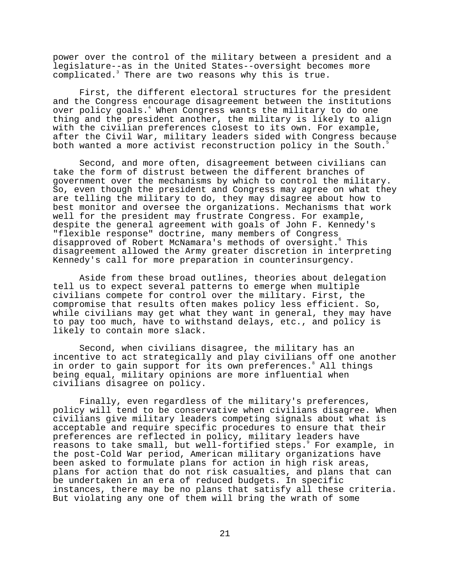power over the control of the military between a president and a legislature--as in the United States--oversight becomes more complicated.<sup>3</sup> There are two reasons why this is true.

First, the different electoral structures for the president and the Congress encourage disagreement between the institutions over policy goals.<sup>4</sup> When Congress wants the military to do one thing and the president another, the military is likely to align with the civilian preferences closest to its own. For example, after the Civil War, military leaders sided with Congress because both wanted a more activist reconstruction policy in the South. $\dot{\bar{\phantom{s}}}$ 

Second, and more often, disagreement between civilians can take the form of distrust between the different branches of government over the mechanisms by which to control the military. So, even though the president and Congress may agree on what they are telling the military to do, they may disagree about how to best monitor and oversee the organizations. Mechanisms that work well for the president may frustrate Congress. For example, despite the general agreement with goals of John F. Kennedy's "flexible response" doctrine, many members of Congress disapproved of Robert McNamara's methods of oversight. This disagreement allowed the Army greater discretion in interpreting Kennedy's call for more preparation in counterinsurgency.

Aside from these broad outlines, theories about delegation tell us to expect several patterns to emerge when multiple civilians compete for control over the military. First, the compromise that results often makes policy less efficient. So, while civilians may get what they want in general, they may have to pay too much, have to withstand delays, etc., and policy is likely to contain more slack.

Second, when civilians disagree, the military has an incentive to act strategically and play civilians off one another in order to gain support for its own preferences.<sup>8</sup> All things being equal, military opinions are more influential when civilians disagree on policy.

Finally, even regardless of the military's preferences, policy will tend to be conservative when civilians disagree. When civilians give military leaders competing signals about what is acceptable and require specific procedures to ensure that their preferences are reflected in policy, military leaders have reasons to take small, but well-fortified steps.9 For example, in the post-Cold War period, American military organizations have been asked to formulate plans for action in high risk areas, plans for action that do not risk casualties, and plans that can be undertaken in an era of reduced budgets. In specific instances, there may be no plans that satisfy all these criteria. But violating any one of them will bring the wrath of some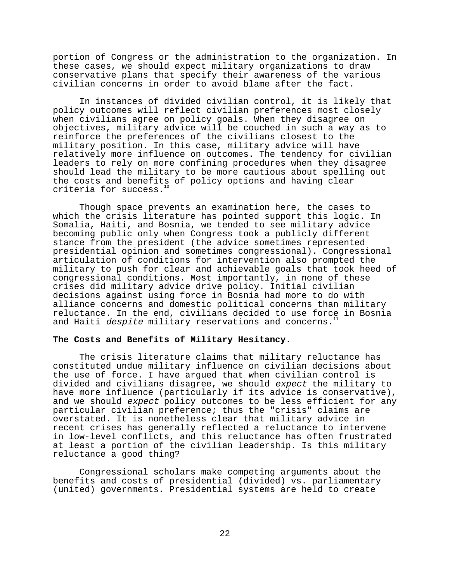portion of Congress or the administration to the organization. In these cases, we should expect military organizations to draw conservative plans that specify their awareness of the various civilian concerns in order to avoid blame after the fact.

In instances of divided civilian control, it is likely that policy outcomes will reflect civilian preferences most closely when civilians agree on policy goals. When they disagree on objectives, military advice will be couched in such a way as to reinforce the preferences of the civilians closest to the military position. In this case, military advice will have relatively more influence on outcomes. The tendency for civilian leaders to rely on more confining procedures when they disagree should lead the military to be more cautious about spelling out the costs and benefits of policy options and having clear criteria for success. $1$ 

Though space prevents an examination here, the cases to which the crisis literature has pointed support this logic. In Somalia, Haiti, and Bosnia, we tended to see military advice becoming public only when Congress took a publicly different stance from the president (the advice sometimes represented presidential opinion and sometimes congressional). Congressional articulation of conditions for intervention also prompted the military to push for clear and achievable goals that took heed of congressional conditions. Most importantly, in none of these crises did military advice drive policy. Initial civilian decisions against using force in Bosnia had more to do with alliance concerns and domestic political concerns than military reluctance. In the end, civilians decided to use force in Bosnia and Haiti despite military reservations and concerns.

## **The Costs and Benefits of Military Hesitancy**.

The crisis literature claims that military reluctance has constituted undue military influence on civilian decisions about the use of force. I have argued that when civilian control is divided and civilians disagree, we should expect the military to have more influence (particularly if its advice is conservative), and we should expect policy outcomes to be less efficient for any particular civilian preference; thus the "crisis" claims are overstated. It is nonetheless clear that military advice in recent crises has generally reflected a reluctance to intervene in low-level conflicts, and this reluctance has often frustrated at least a portion of the civilian leadership. Is this military reluctance a good thing?

Congressional scholars make competing arguments about the benefits and costs of presidential (divided) vs. parliamentary (united) governments. Presidential systems are held to create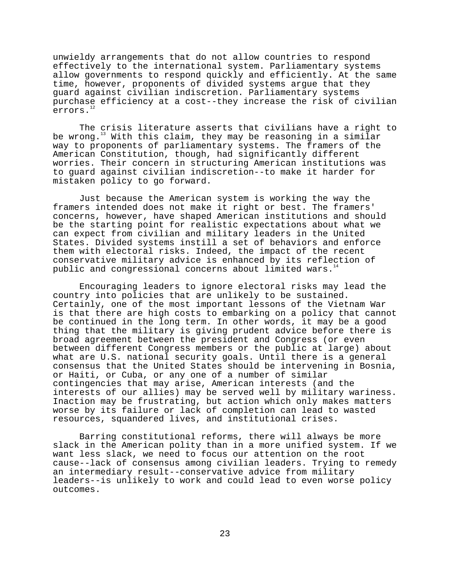unwieldy arrangements that do not allow countries to respond effectively to the international system. Parliamentary systems allow governments to respond quickly and efficiently. At the same time, however, proponents of divided systems argue that they guard against civilian indiscretion. Parliamentary systems purchase efficiency at a cost--they increase the risk of civilian errors.<sup>1</sup>

The crisis literature asserts that civilians have a right to be wrong.<sup>13</sup> With this claim, they may be reasoning in a similar way to proponents of parliamentary systems. The framers of the American Constitution, though, had significantly different worries. Their concern in structuring American institutions was to guard against civilian indiscretion--to make it harder for mistaken policy to go forward.

Just because the American system is working the way the framers intended does not make it right or best. The framers' concerns, however, have shaped American institutions and should be the starting point for realistic expectations about what we can expect from civilian and military leaders in the United States. Divided systems instill a set of behaviors and enforce them with electoral risks. Indeed, the impact of the recent conservative military advice is enhanced by its reflection of public and congressional concerns about limited wars.<sup>1</sup>

Encouraging leaders to ignore electoral risks may lead the country into policies that are unlikely to be sustained. Certainly, one of the most important lessons of the Vietnam War is that there are high costs to embarking on a policy that cannot be continued in the long term. In other words, it may be a good thing that the military is giving prudent advice before there is broad agreement between the president and Congress (or even between different Congress members or the public at large) about what are U.S. national security goals. Until there is a general consensus that the United States should be intervening in Bosnia, or Haiti, or Cuba, or any one of a number of similar contingencies that may arise, American interests (and the interests of our allies) may be served well by military wariness. Inaction may be frustrating, but action which only makes matters worse by its failure or lack of completion can lead to wasted resources, squandered lives, and institutional crises.

Barring constitutional reforms, there will always be more slack in the American polity than in a more unified system. If we want less slack, we need to focus our attention on the root cause--lack of consensus among civilian leaders. Trying to remedy an intermediary result--conservative advice from military leaders--is unlikely to work and could lead to even worse policy outcomes.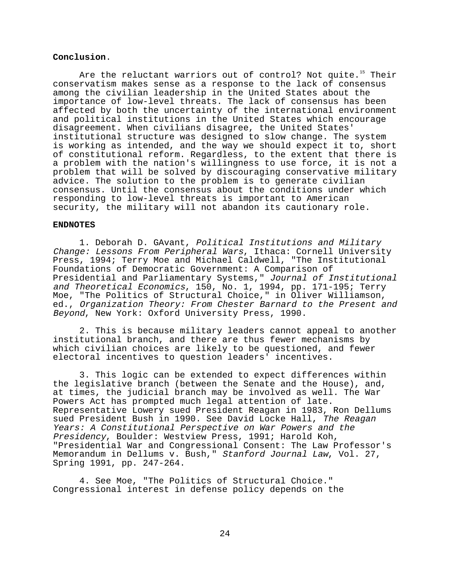## **Conclusion**.

Are the reluctant warriors out of control? Not quite.<sup>15</sup> Their conservatism makes sense as a response to the lack of consensus among the civilian leadership in the United States about the importance of low-level threats. The lack of consensus has been affected by both the uncertainty of the international environment and political institutions in the United States which encourage disagreement. When civilians disagree, the United States' institutional structure was designed to slow change. The system is working as intended, and the way we should expect it to, short of constitutional reform. Regardless, to the extent that there is a problem with the nation's willingness to use force, it is not a problem that will be solved by discouraging conservative military advice. The solution to the problem is to generate civilian consensus. Until the consensus about the conditions under which responding to low-level threats is important to American security, the military will not abandon its cautionary role.

#### **ENDNOTES**

1. Deborah D. GAvant, Political Institutions and Military Change: Lessons From Peripheral Wars, Ithaca: Cornell University Press, 1994; Terry Moe and Michael Caldwell, "The Institutional Foundations of Democratic Government: A Comparison of Presidential and Parliamentary Systems," Journal of Institutional and Theoretical Economics, 150, No. 1, 1994, pp. 171-195; Terry Moe, "The Politics of Structural Choice," in Oliver Williamson, ed., Organization Theory: From Chester Barnard to the Present and Beyond, New York: Oxford University Press, 1990.

2. This is because military leaders cannot appeal to another institutional branch, and there are thus fewer mechanisms by which civilian choices are likely to be questioned, and fewer electoral incentives to question leaders' incentives.

3. This logic can be extended to expect differences within the legislative branch (between the Senate and the House), and, at times, the judicial branch may be involved as well. The War Powers Act has prompted much legal attention of late. Representative Lowery sued President Reagan in 1983, Ron Dellums sued President Bush in 1990. See David Locke Hall, The Reagan Years: A Constitutional Perspective on War Powers and the Presidency, Boulder: Westview Press, 1991; Harold Koh, "Presidential War and Congressional Consent: The Law Professor's Memorandum in Dellums v. Bush," Stanford Journal Law, Vol. 27, Spring 1991, pp. 247-264.

4. See Moe, "The Politics of Structural Choice." Congressional interest in defense policy depends on the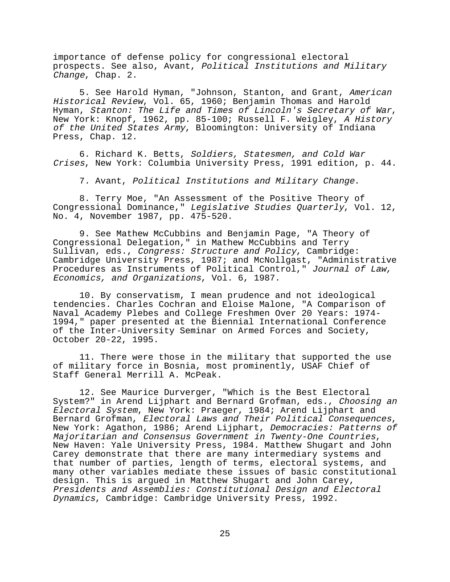importance of defense policy for congressional electoral prospects. See also, Avant, Political Institutions and Military Change, Chap. 2.

5. See Harold Hyman, "Johnson, Stanton, and Grant, American Historical Review, Vol. 65, 1960; Benjamin Thomas and Harold Hyman, Stanton: The Life and Times of Lincoln's Secretary of War, New York: Knopf, 1962, pp. 85-100; Russell F. Weigley, A History of the United States Army, Bloomington: University of Indiana Press, Chap. 12.

6. Richard K. Betts, Soldiers, Statesmen, and Cold War Crises, New York: Columbia University Press, 1991 edition, p. 44.

7. Avant, Political Institutions and Military Change.

8. Terry Moe, "An Assessment of the Positive Theory of Congressional Dominance," Legislative Studies Quarterly, Vol. 12, No. 4, November 1987, pp. 475-520.

9. See Mathew McCubbins and Benjamin Page, "A Theory of Congressional Delegation," in Mathew McCubbins and Terry Sullivan, eds., Congress: Structure and Policy, Cambridge: Cambridge University Press, 1987; and McNollgast, "Administrative Procedures as Instruments of Political Control," Journal of Law, Economics, and Organizations, Vol. 6, 1987.

10. By conservatism, I mean prudence and not ideological tendencies. Charles Cochran and Eloise Malone, "A Comparison of Naval Academy Plebes and College Freshmen Over 20 Years: 1974- 1994," paper presented at the Biennial International Conference of the Inter-University Seminar on Armed Forces and Society, October 20-22, 1995.

11. There were those in the military that supported the use of military force in Bosnia, most prominently, USAF Chief of Staff General Merrill A. McPeak.

12. See Maurice Durverger, "Which is the Best Electoral System?" in Arend Lijphart and Bernard Grofman, eds., Choosing an Electoral System, New York: Praeger, 1984; Arend Lijphart and Bernard Grofman, Electoral Laws and Their Political Consequences,<br>New York: Agathon, 1986; Arend Lijphart, Democracies: Patterns of Majoritarian and Consensus Government in Twenty-One Countries, New Haven: Yale University Press, 1984. Matthew Shugart and John Carey demonstrate that there are many intermediary systems and that number of parties, length of terms, electoral systems, and many other variables mediate these issues of basic constitutional design. This is argued in Matthew Shugart and John Carey, Presidents and Assemblies: Constitutional Design and Electoral Dynamics, Cambridge: Cambridge University Press, 1992.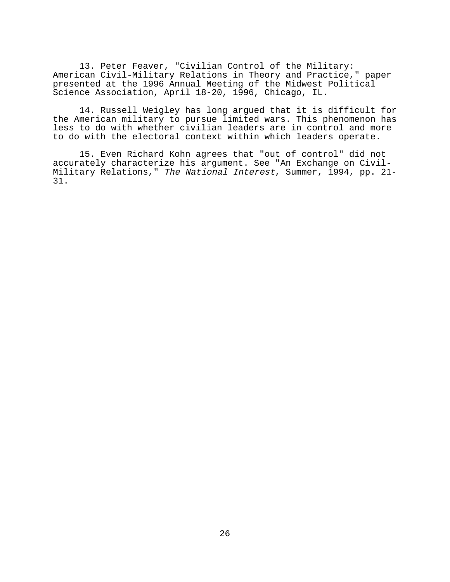13. Peter Feaver, "Civilian Control of the Military: American Civil-Military Relations in Theory and Practice," paper presented at the 1996 Annual Meeting of the Midwest Political Science Association, April 18-20, 1996, Chicago, IL.

14. Russell Weigley has long argued that it is difficult for the American military to pursue limited wars. This phenomenon has less to do with whether civilian leaders are in control and more to do with the electoral context within which leaders operate.

15. Even Richard Kohn agrees that "out of control" did not accurately characterize his argument. See "An Exchange on Civil-Military Relations," The National Interest, Summer, 1994, pp. 21- 31.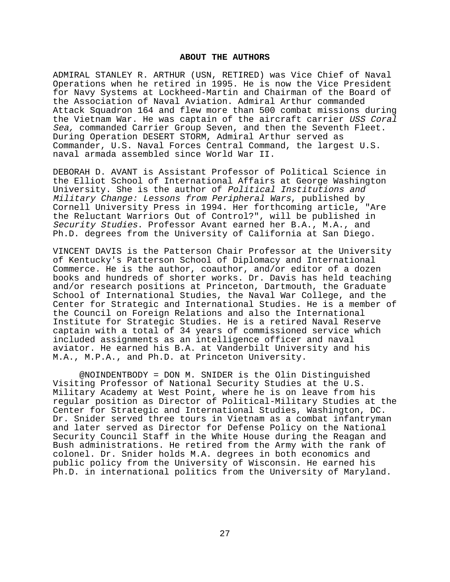### **ABOUT THE AUTHORS**

ADMIRAL STANLEY R. ARTHUR (USN, RETIRED) was Vice Chief of Naval Operations when he retired in 1995. He is now the Vice President for Navy Systems at Lockheed-Martin and Chairman of the Board of the Association of Naval Aviation. Admiral Arthur commanded Attack Squadron 164 and flew more than 500 combat missions during the Vietnam War. He was captain of the aircraft carrier USS Coral Sea, commanded Carrier Group Seven, and then the Seventh Fleet. During Operation DESERT STORM, Admiral Arthur served as Commander, U.S. Naval Forces Central Command, the largest U.S. naval armada assembled since World War II.

DEBORAH D. AVANT is Assistant Professor of Political Science in the Elliot School of International Affairs at George Washington University. She is the author of Political Institutions and Military Change: Lessons from Peripheral Wars, published by Cornell University Press in 1994. Her forthcoming article, "Are the Reluctant Warriors Out of Control?", will be published in Security Studies. Professor Avant earned her B.A., M.A., and Ph.D. degrees from the University of California at San Diego.

VINCENT DAVIS is the Patterson Chair Professor at the University of Kentucky's Patterson School of Diplomacy and International Commerce. He is the author, coauthor, and/or editor of a dozen books and hundreds of shorter works. Dr. Davis has held teaching and/or research positions at Princeton, Dartmouth, the Graduate School of International Studies, the Naval War College, and the Center for Strategic and International Studies. He is a member of the Council on Foreign Relations and also the International Institute for Strategic Studies. He is a retired Naval Reserve captain with a total of 34 years of commissioned service which included assignments as an intelligence officer and naval aviator. He earned his B.A. at Vanderbilt University and his M.A., M.P.A., and Ph.D. at Princeton University.

@NOINDENTBODY = DON M. SNIDER is the Olin Distinguished Visiting Professor of National Security Studies at the U.S. Military Academy at West Point, where he is on leave from his regular position as Director of Political-Military Studies at the Center for Strategic and International Studies, Washington, DC. Dr. Snider served three tours in Vietnam as a combat infantryman and later served as Director for Defense Policy on the National Security Council Staff in the White House during the Reagan and Bush administrations. He retired from the Army with the rank of colonel. Dr. Snider holds M.A. degrees in both economics and public policy from the University of Wisconsin. He earned his Ph.D. in international politics from the University of Maryland.